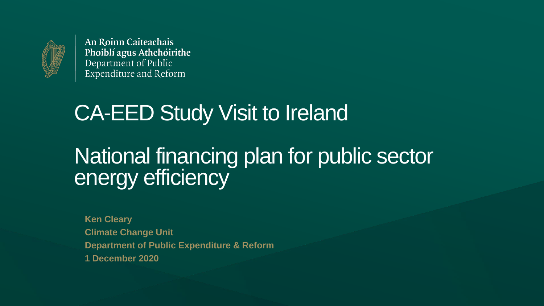

### CA-EED Study Visit to Ireland

### National financing plan for public sector energy efficiency

**Ken Cleary Climate Change Unit Department of Public Expenditure & Reform 1 December 2020**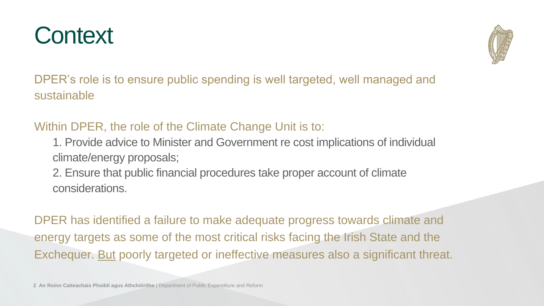





DPER's role is to ensure public spending is well targeted, well managed and sustainable

### Context

Within DPER, the role of the Climate Change Unit is to:

- 1. Provide advice to Minister and Government re cost implications of individual climate/energy proposals;
- 2. Ensure that public financial procedures take proper account of climate considerations.

DPER has identified a failure to make adequate progress towards climate and energy targets as some of the most critical risks facing the Irish State and the Exchequer. But poorly targeted or ineffective measures also a significant threat.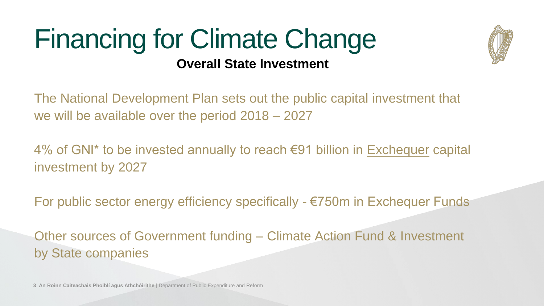





#### Financing for Climate Change **Overall State Investment**

- The National Development Plan sets out the public capital investment that we will be available over the period 2018 – 2027
- 4% of GNI<sup>\*</sup> to be invested annually to reach €91 billion in Exchequer capital investment by 2027
- For public sector energy efficiency specifically €750m in Exchequer Funds
- Other sources of Government funding Climate Action Fund & Investment by State companies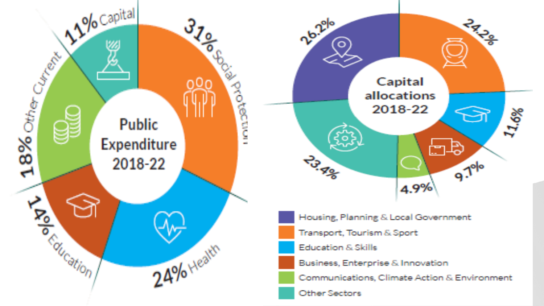#### **Public Expenditure** 2018-22

**S** 

**PARTICULAR SERVERENT** 

 $\frac{8}{8}$ 

ہے

**Processing** 

 $24%$  Health

 $\frac{3}{3}$ 



- Housing, Planning & Local Government
- Transport, Tourism & Sport
- Education & Skills
- Business, Enterprise & Innovation
- Communications, Climate Action & Environment
- Other Sectors





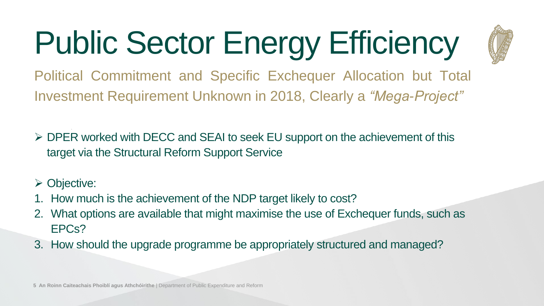## Public Sector Energy Efficiency Political Commitment and Specific Exchequer Allocation but Total







• *ensur thaeovrl fcapitl nvesmtplaned fortheu isat*

- ➢ DPER worked with DECC and SEAI to seek EU support on the achievement of this target via the Structural Reform Support Service
- ➢ Objective:

- 1. How much is the achievement of the NDP target likely to cost?
- 2. What options are available that might maximise the use of Exchequer funds, such as EPCs?
- 3. How should the upgrade programme be appropriately structured and managed?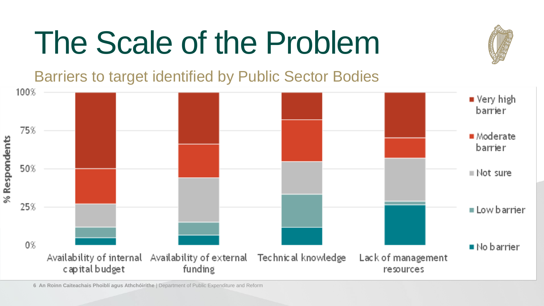

## The Scale of the Problem Barriers to target identified by Public Sector Bodies

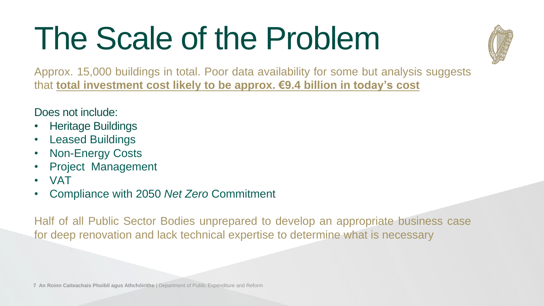





## The Scale of the Problem

Approx. 15,000 buildings in total. Poor data availability for some but analysis suggests that **total investment cost likely to be approx. €9.4 billion in today's cost**

Does not include:

- Heritage Buildings
- Leased Buildings
- Non-Energy Costs
- Project Management
- VAT

• Compliance with 2050 *Net Zero* Commitment

Half of all Public Sector Bodies unprepared to develop an appropriate business case for deep renovation and lack technical expertise to determine what is necessary

• *ensur thaeovrl fcapitl nvesmtplaned fortheu isat*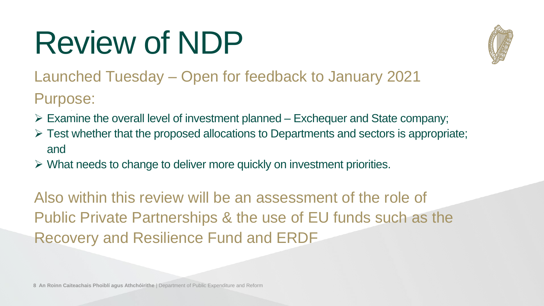





## Review of NDP Launched Tuesday – Open for feedback to January 2021 Purpose:

• *ensur thaeovrl fcapitl nvesmtplaned fortheu isat*

- $\triangleright$  Examine the overall level of investment planned Exchequer and State company;  $\triangleright$  Test whether that the proposed allocations to Departments and sectors is appropriate;
- and

 $\triangleright$  What needs to change to deliver more quickly on investment priorities.

Also within this review will be an assessment of the role of Public Private Partnerships & the use of EU funds such as the Recovery and Resilience Fund and ERDF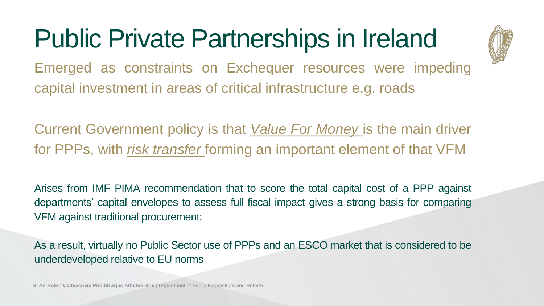## Public Private Partnerships in Ireland

Emerged as constraints on Exchequer resources were impeding capital investment in areas of critical infrastructure e.g. roads

Current Government policy is that *Value For Money* is the main driver for PPPs, with *risk transfer* forming an important element of that VFM

• *ensur thaeovrl fcapitl nvesmtplaned fortheu isat*







Arises from IMF PIMA recommendation that to score the total capital cost of a PPP against departments' capital envelopes to assess full fiscal impact gives a strong basis for comparing VFM against traditional procurement;

As a result, virtually no Public Sector use of PPPs and an ESCO market that is considered to be underdeveloped relative to EU norms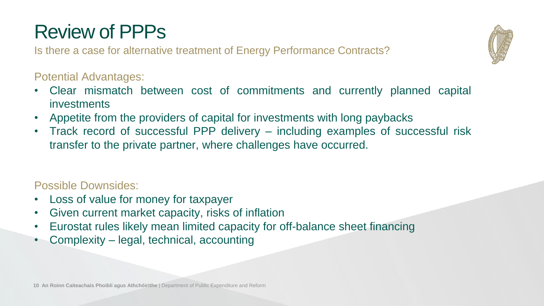





#### Review of PPPs

Is there a case for alternative treatment of Energy Performance Contracts?

#### Potential Advantages:

- Clear mismatch between cost of commitments and currently planned capital investments
- Appetite from the providers of capital for investments with long paybacks • Track record of successful PPP delivery – including examples of successful risk transfer to the private partner, where challenges have occurred.
- 

#### Possible Downsides:

- Loss of value for money for taxpayer
- Eurostat rules likely mean limited capacity for off-balance sheet financing
- Given current market capacity, risks of inflation
- Complexity legal, technical, accounting